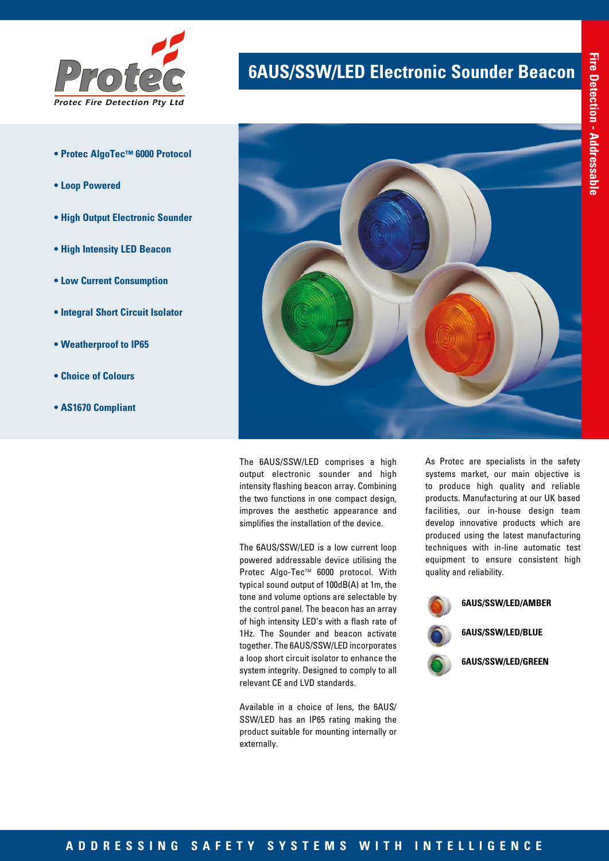

- **Protec AlgoTec™ 6000 Protocol**
- **Loop Powered**
- **High Output Electronic Sounder**
- **High Intensity LED Beacon**
- **Low Current Consumption**
- **Integral Short Circuit Isolator**
- **Weatherproof to IP65**
- **Choice of Colours**
- **AS1670 Compliant**

# **6AUS/SSW/LED Electronic Sounder Beacon**



The 6AUS/SSW/LED comprises a high output electronic sounder and high intensity flashing beacon array. Combining the two functions in one compact design, improves the aesthetic appearance and simplifies the installation of the device.

The 6AUS/SSW/LED is a low current loop powered addressable device utilising the Protec Algo-Tec™ 6000 protocol. With typical sound output of 100dB(A) at 1m, the tone and volume options are selectable by the control panel. The beacon has an array of high intensity LED's with a flash rate of 1Hz. The Sounder and beacon activate together. The 6AUS/SSW/LED incorporates a loop short circuit isolator to enhance the system integrity. Designed to comply to all relevant CE and LVD standards.

Available in a choice of lens, the 6AUS/ SSW/LED has an IP65 rating making the product suitable for mounting internally or externally.

As Protec are specialists in the safety systems market, our main objective is to produce high quality and reliable products. Manufacturing at our UK based facilities, our in-house design team develop innovative products which are produced using the latest manufacturing techniques with in-line automatic test equipment to ensure consistent high quality and reliability.